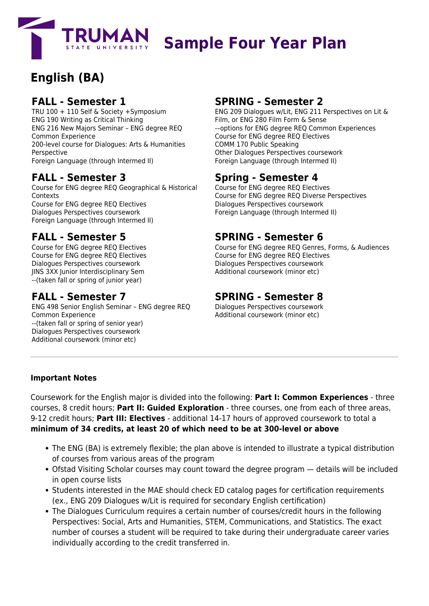

# **Sample Four Year Plan**

## **English (BA)**

#### **FALL - Semester 1**

TRU 100 + 110 Self & Society +Symposium ENG 190 Writing as Critical Thinking ENG 216 New Majors Seminar – ENG degree REQ Common Experience 200-level course for Dialogues: Arts & Humanities Perspective Foreign Language (through Intermed II)

#### **FALL - Semester 3**

Course for ENG degree REQ Geographical & Historical Contexts Course for ENG degree REQ Electives Dialogues Perspectives coursework Foreign Language (through Intermed II)

#### **FALL - Semester 5**

Course for ENG degree REQ Electives Course for ENG degree REQ Electives Dialogues Perspectives coursework JINS 3XX Junior Interdisciplinary Sem --(taken fall or spring of junior year)

#### **FALL - Semester 7**

ENG 498 Senior English Seminar – ENG degree REQ Common Experience --(taken fall or spring of senior year) Dialogues Perspectives coursework Additional coursework (minor etc)

#### **SPRING - Semester 2**

ENG 209 Dialogues w/Lit, ENG 211 Perspectives on Lit & Film, or ENG 280 Film Form & Sense -–options for ENG degree REQ Common Experiences Course for ENG degree REQ Electives COMM 170 Public Speaking Other Dialogues Perspectives coursework Foreign Language (through Intermed II)

### **Spring - Semester 4**

Course for ENG degree REQ Electives Course for ENG degree REQ Diverse Perspectives Dialogues Perspectives coursework Foreign Language (through Intermed II)

#### **SPRING - Semester 6**

Course for ENG degree REQ Genres, Forms, & Audiences Course for ENG degree REQ Electives Dialogues Perspectives coursework Additional coursework (minor etc)

#### **SPRING - Semester 8**

Dialogues Perspectives coursework Additional coursework (minor etc)

#### **Important Notes**

Coursework for the English major is divided into the following: **Part I: Common Experiences** - three courses, 8 credit hours; **Part II: Guided Exploration** - three courses, one from each of three areas, 9-12 credit hours; **Part III: Electives** - additional 14-17 hours of approved coursework to total a **minimum of 34 credits, at least 20 of which need to be at 300-level or above**

- The ENG (BA) is extremely flexible; the plan above is intended to illustrate a typical distribution of courses from various areas of the program
- Ofstad Visiting Scholar courses may count toward the degree program details will be included in open course lists
- Students interested in the MAE should check ED catalog pages for certification requirements (ex., ENG 209 Dialogues w/Lit is required for secondary English certification)
- The Dialogues Curriculum requires a certain number of courses/credit hours in the following Perspectives: Social, Arts and Humanities, STEM, Communications, and Statistics. The exact number of courses a student will be required to take during their undergraduate career varies individually according to the credit transferred in.